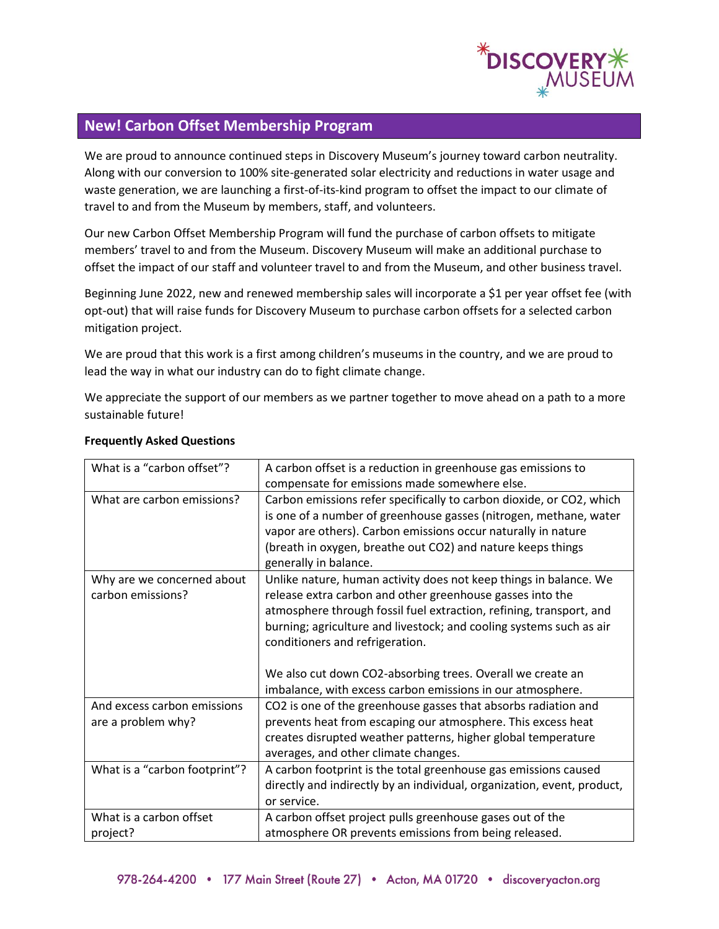

## **New! Carbon Offset Membership Program**

We are proud to announce continued steps in Discovery Museum's journey toward carbon neutrality. Along with our conversion to 100% site-generated solar electricity and reductions in water usage and waste generation, we are launching a first-of-its-kind program to offset the impact to our climate of travel to and from the Museum by members, staff, and volunteers.

Our new Carbon Offset Membership Program will fund the purchase of carbon offsets to mitigate members' travel to and from the Museum. Discovery Museum will make an additional purchase to offset the impact of our staff and volunteer travel to and from the Museum, and other business travel.

Beginning June 2022, new and renewed membership sales will incorporate a \$1 per year offset fee (with opt-out) that will raise funds for Discovery Museum to purchase carbon offsets for a selected carbon mitigation project.

We are proud that this work is a first among children's museums in the country, and we are proud to lead the way in what our industry can do to fight climate change.

We appreciate the support of our members as we partner together to move ahead on a path to a more sustainable future!

| What is a "carbon offset"?                        | A carbon offset is a reduction in greenhouse gas emissions to<br>compensate for emissions made somewhere else.                                                                                                                                                                                                                                                                                                                              |
|---------------------------------------------------|---------------------------------------------------------------------------------------------------------------------------------------------------------------------------------------------------------------------------------------------------------------------------------------------------------------------------------------------------------------------------------------------------------------------------------------------|
| What are carbon emissions?                        | Carbon emissions refer specifically to carbon dioxide, or CO2, which<br>is one of a number of greenhouse gasses (nitrogen, methane, water<br>vapor are others). Carbon emissions occur naturally in nature<br>(breath in oxygen, breathe out CO2) and nature keeps things<br>generally in balance.                                                                                                                                          |
| Why are we concerned about<br>carbon emissions?   | Unlike nature, human activity does not keep things in balance. We<br>release extra carbon and other greenhouse gasses into the<br>atmosphere through fossil fuel extraction, refining, transport, and<br>burning; agriculture and livestock; and cooling systems such as air<br>conditioners and refrigeration.<br>We also cut down CO2-absorbing trees. Overall we create an<br>imbalance, with excess carbon emissions in our atmosphere. |
| And excess carbon emissions<br>are a problem why? | CO2 is one of the greenhouse gasses that absorbs radiation and<br>prevents heat from escaping our atmosphere. This excess heat<br>creates disrupted weather patterns, higher global temperature<br>averages, and other climate changes.                                                                                                                                                                                                     |
| What is a "carbon footprint"?                     | A carbon footprint is the total greenhouse gas emissions caused<br>directly and indirectly by an individual, organization, event, product,<br>or service.                                                                                                                                                                                                                                                                                   |
| What is a carbon offset<br>project?               | A carbon offset project pulls greenhouse gases out of the<br>atmosphere OR prevents emissions from being released.                                                                                                                                                                                                                                                                                                                          |

## **Frequently Asked Questions**